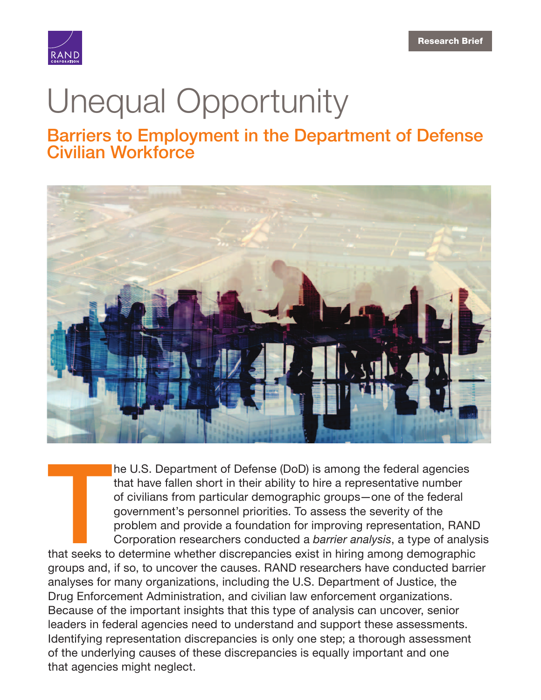

# [Unequal Opportunity](https://www.rand.org/pubs/research_briefs/RB10017.html)

Barriers to Employment in the Department of Defense Civilian Workforce



he U.S. Department of Defense (DoD) is among the federal agencies that have fallen short in their ability to hire a representative number of civilians from particular demographic groups—one of the federal government's personnel priorities. To assess the severity of the problem and provide a foundation for improving representation, RAND Corporation researchers conducted a *barrier analysis*, a type of analysis

**THE SERVE SERVER SERVER SERVER SERVER**<br>That seeks to that seeks to determine whether discrepancies exist in hiring among demographic groups and, if so, to uncover the causes. RAND researchers have conducted barrier analyses for many organizations, including the U.S. Department of Justice, the Drug Enforcement Administration, and civilian law enforcement organizations. Because of the important insights that this type of analysis can uncover, senior leaders in federal agencies need to understand and support these assessments. Identifying representation discrepancies is only one step; a thorough assessment of the underlying causes of these discrepancies is equally important and one that agencies might neglect.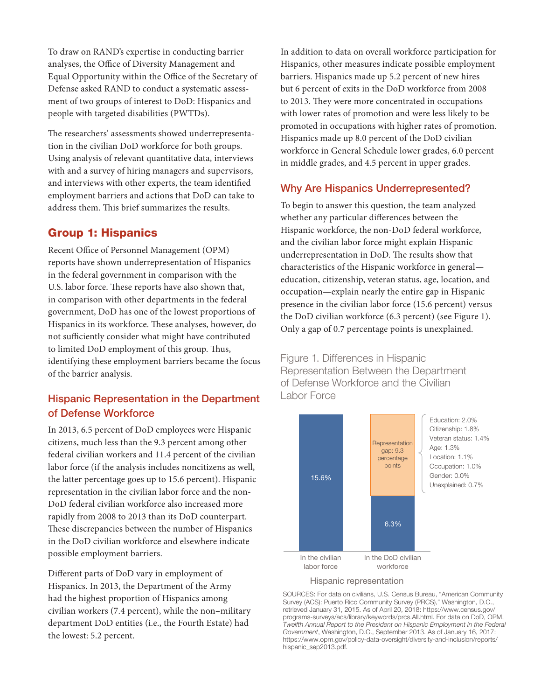To draw on RAND's expertise in conducting barrier analyses, the Office of Diversity Management and Equal Opportunity within the Office of the Secretary of Defense asked RAND to conduct a systematic assessment of two groups of interest to DoD: Hispanics and people with targeted disabilities (PWTDs).

The researchers' assessments showed underrepresentation in the civilian DoD workforce for both groups. Using analysis of relevant quantitative data, interviews with and a survey of hiring managers and supervisors, and interviews with other experts, the team identified employment barriers and actions that DoD can take to address them. This brief summarizes the results.

### Group 1: Hispanics

Recent Office of Personnel Management (OPM) reports have shown underrepresentation of Hispanics in the federal government in comparison with the U.S. labor force. These reports have also shown that, in comparison with other departments in the federal government, DoD has one of the lowest proportions of Hispanics in its workforce. These analyses, however, do not sufficiently consider what might have contributed to limited DoD employment of this group. Thus, identifying these employment barriers became the focus of the barrier analysis.

# Hispanic Representation in the Department of Defense Workforce

In 2013, 6.5 percent of DoD employees were Hispanic citizens, much less than the 9.3 percent among other federal civilian workers and 11.4 percent of the civilian labor force (if the analysis includes noncitizens as well, the latter percentage goes up to 15.6 percent). Hispanic representation in the civilian labor force and the non-DoD federal civilian workforce also increased more rapidly from 2008 to 2013 than its DoD counterpart. These discrepancies between the number of Hispanics in the DoD civilian workforce and elsewhere indicate possible employment barriers.

Different parts of DoD vary in employment of Hispanics. In 2013, the Department of the Army had the highest proportion of Hispanics among civilian workers (7.4 percent), while the non–military department DoD entities (i.e., the Fourth Estate) had the lowest: 5.2 percent.

In addition to data on overall workforce participation for Hispanics, other measures indicate possible employment barriers. Hispanics made up 5.2 percent of new hires but 6 percent of exits in the DoD workforce from 2008 to 2013. They were more concentrated in occupations with lower rates of promotion and were less likely to be promoted in occupations with higher rates of promotion. Hispanics made up 8.0 percent of the DoD civilian workforce in General Schedule lower grades, 6.0 percent in middle grades, and 4.5 percent in upper grades.

### Why Are Hispanics Underrepresented?

To begin to answer this question, the team analyzed whether any particular differences between the Hispanic workforce, the non-DoD federal workforce, and the civilian labor force might explain Hispanic underrepresentation in DoD. The results show that characteristics of the Hispanic workforce in general education, citizenship, veteran status, age, location, and occupation—explain nearly the entire gap in Hispanic presence in the civilian labor force (15.6 percent) versus the DoD civilian workforce (6.3 percent) (see Figure 1). Only a gap of 0.7 percentage points is unexplained.

Figure 1. Differences in Hispanic Representation Between the Department of Defense Workforce and the Civilian Labor Force



#### Hispanic representation

SOURCES: For data on civilians, U.S. Census Bureau, "American Community Survey (ACS): Puerto Rico Community Survey (PRCS)," Washington, D.C., retrieved January 31, 2015. As of April 20, 2018: [https://www.census.gov/](https://www.census.gov/programs-surveys/acs/library/keywords/prcs.All.html) [programs-surveys/acs/library/keywords/prcs.All.html.](https://www.census.gov/programs-surveys/acs/library/keywords/prcs.All.html) For data on DoD, OPM, Twelfth Annual Report to the President on Hispanic Employment in the Federal Government, Washington, D.C., September 2013. As of January 16, 2017: [https://www.opm.gov/policy-data-oversight/diversity-and-inclusion/reports/](https://www.opm.gov/policy-data-oversight/diversity-and-inclusion/reports/hispanic_sep2013.pdf) hispanic\_sep2013.pdf.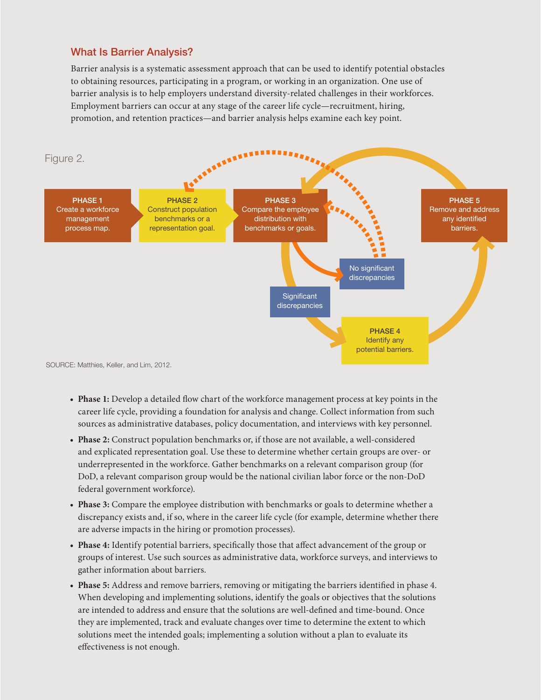### What Is Barrier Analysis?

Barrier analysis is a systematic assessment approach that can be used to identify potential obstacles to obtaining resources, participating in a program, or working in an organization. One use of barrier analysis is to help employers understand diversity-related challenges in their workforces. Employment barriers can occur at any stage of the career life cycle—recruitment, hiring, promotion, and retention practices—and barrier analysis helps examine each key point.



- **Phase 1:** Develop a detailed flow chart of the workforce management process at key points in the career life cycle, providing a foundation for analysis and change. Collect information from such sources as administrative databases, policy documentation, and interviews with key personnel.
- **Phase 2:** Construct population benchmarks or, if those are not available, a well-considered and explicated representation goal. Use these to determine whether certain groups are over- or underrepresented in the workforce. Gather benchmarks on a relevant comparison group (for DoD, a relevant comparison group would be the national civilian labor force or the non-DoD federal government workforce).
- **Phase 3:** Compare the employee distribution with benchmarks or goals to determine whether a discrepancy exists and, if so, where in the career life cycle (for example, determine whether there are adverse impacts in the hiring or promotion processes).
- **Phase 4:** Identify potential barriers, specifically those that affect advancement of the group or groups of interest. Use such sources as administrative data, workforce surveys, and interviews to gather information about barriers.
- **Phase 5:** Address and remove barriers, removing or mitigating the barriers identified in phase 4. When developing and implementing solutions, identify the goals or objectives that the solutions are intended to address and ensure that the solutions are well-defined and time-bound. Once they are implemented, track and evaluate changes over time to determine the extent to which solutions meet the intended goals; implementing a solution without a plan to evaluate its effectiveness is not enough.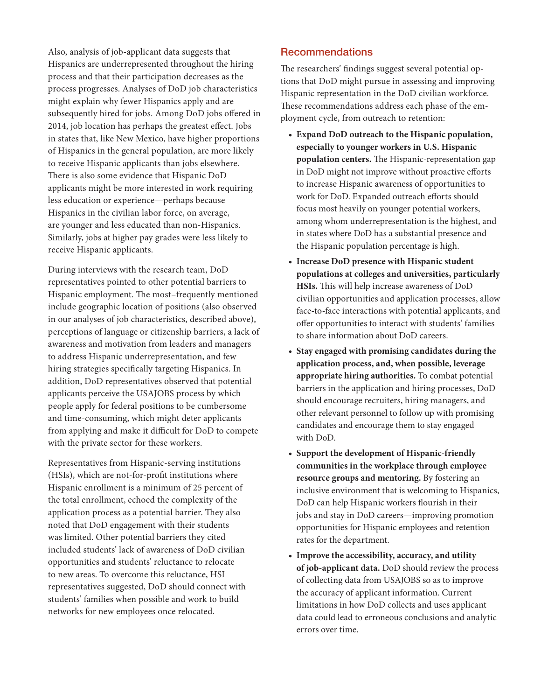Also, analysis of job-applicant data suggests that Hispanics are underrepresented throughout the hiring process and that their participation decreases as the process progresses. Analyses of DoD job characteristics might explain why fewer Hispanics apply and are subsequently hired for jobs. Among DoD jobs offered in 2014, job location has perhaps the greatest effect. Jobs in states that, like New Mexico, have higher proportions of Hispanics in the general population, are more likely to receive Hispanic applicants than jobs elsewhere. There is also some evidence that Hispanic DoD applicants might be more interested in work requiring less education or experience—perhaps because Hispanics in the civilian labor force, on average, are younger and less educated than non-Hispanics. Similarly, jobs at higher pay grades were less likely to receive Hispanic applicants.

During interviews with the research team, DoD representatives pointed to other potential barriers to Hispanic employment. The most–frequently mentioned include geographic location of positions (also observed in our analyses of job characteristics, described above), perceptions of language or citizenship barriers, a lack of awareness and motivation from leaders and managers to address Hispanic underrepresentation, and few hiring strategies specifically targeting Hispanics. In addition, DoD representatives observed that potential applicants perceive the USAJOBS process by which people apply for federal positions to be cumbersome and time-consuming, which might deter applicants from applying and make it difficult for DoD to compete with the private sector for these workers.

Representatives from Hispanic-serving institutions (HSIs), which are not-for-profit institutions where Hispanic enrollment is a minimum of 25 percent of the total enrollment, echoed the complexity of the application process as a potential barrier. They also noted that DoD engagement with their students was limited. Other potential barriers they cited included students' lack of awareness of DoD civilian opportunities and students' reluctance to relocate to new areas. To overcome this reluctance, HSI representatives suggested, DoD should connect with students' families when possible and work to build networks for new employees once relocated.

#### **Recommendations**

The researchers' findings suggest several potential options that DoD might pursue in assessing and improving Hispanic representation in the DoD civilian workforce. These recommendations address each phase of the employment cycle, from outreach to retention:

- **Expand DoD outreach to the Hispanic population, especially to younger workers in U.S. Hispanic population centers.** The Hispanic-representation gap in DoD might not improve without proactive efforts to increase Hispanic awareness of opportunities to work for DoD. Expanded outreach efforts should focus most heavily on younger potential workers, among whom underrepresentation is the highest, and in states where DoD has a substantial presence and the Hispanic population percentage is high.
- **Increase DoD presence with Hispanic student populations at colleges and universities, particularly HSIs.** This will help increase awareness of DoD civilian opportunities and application processes, allow face-to-face interactions with potential applicants, and offer opportunities to interact with students' families to share information about DoD careers.
- **Stay engaged with promising candidates during the application process, and, when possible, leverage appropriate hiring authorities.** To combat potential barriers in the application and hiring processes, DoD should encourage recruiters, hiring managers, and other relevant personnel to follow up with promising candidates and encourage them to stay engaged with DoD.
- **Support the development of Hispanic-friendly communities in the workplace through employee resource groups and mentoring.** By fostering an inclusive environment that is welcoming to Hispanics, DoD can help Hispanic workers flourish in their jobs and stay in DoD careers—improving promotion opportunities for Hispanic employees and retention rates for the department.
- **Improve the accessibility, accuracy, and utility of job-applicant data.** DoD should review the process of collecting data from USAJOBS so as to improve the accuracy of applicant information. Current limitations in how DoD collects and uses applicant data could lead to erroneous conclusions and analytic errors over time.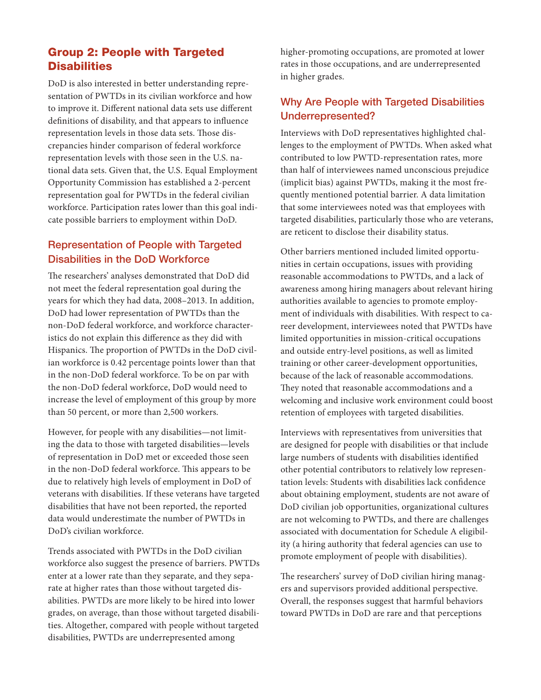# Group 2: People with Targeted **Disabilities**

DoD is also interested in better understanding representation of PWTDs in its civilian workforce and how to improve it. Different national data sets use different definitions of disability, and that appears to influence representation levels in those data sets. Those discrepancies hinder comparison of federal workforce representation levels with those seen in the U.S. national data sets. Given that, the U.S. Equal Employment Opportunity Commission has established a 2-percent representation goal for PWTDs in the federal civilian workforce. Participation rates lower than this goal indicate possible barriers to employment within DoD.

# Representation of People with Targeted Disabilities in the DoD Workforce

The researchers' analyses demonstrated that DoD did not meet the federal representation goal during the years for which they had data, 2008–2013. In addition, DoD had lower representation of PWTDs than the non-DoD federal workforce, and workforce characteristics do not explain this difference as they did with Hispanics. The proportion of PWTDs in the DoD civilian workforce is 0.42 percentage points lower than that in the non-DoD federal workforce. To be on par with the non-DoD federal workforce, DoD would need to increase the level of employment of this group by more than 50 percent, or more than 2,500 workers.

However, for people with any disabilities—not limiting the data to those with targeted disabilities—levels of representation in DoD met or exceeded those seen in the non-DoD federal workforce. This appears to be due to relatively high levels of employment in DoD of veterans with disabilities. If these veterans have targeted disabilities that have not been reported, the reported data would underestimate the number of PWTDs in DoD's civilian workforce.

Trends associated with PWTDs in the DoD civilian workforce also suggest the presence of barriers. PWTDs enter at a lower rate than they separate, and they separate at higher rates than those without targeted disabilities. PWTDs are more likely to be hired into lower grades, on average, than those without targeted disabilities. Altogether, compared with people without targeted disabilities, PWTDs are underrepresented among

higher-promoting occupations, are promoted at lower rates in those occupations, and are underrepresented in higher grades.

# Why Are People with Targeted Disabilities Underrepresented?

Interviews with DoD representatives highlighted challenges to the employment of PWTDs. When asked what contributed to low PWTD-representation rates, more than half of interviewees named unconscious prejudice (implicit bias) against PWTDs, making it the most frequently mentioned potential barrier. A data limitation that some interviewees noted was that employees with targeted disabilities, particularly those who are veterans, are reticent to disclose their disability status.

Other barriers mentioned included limited opportunities in certain occupations, issues with providing reasonable accommodations to PWTDs, and a lack of awareness among hiring managers about relevant hiring authorities available to agencies to promote employment of individuals with disabilities. With respect to career development, interviewees noted that PWTDs have limited opportunities in mission-critical occupations and outside entry-level positions, as well as limited training or other career-development opportunities, because of the lack of reasonable accommodations. They noted that reasonable accommodations and a welcoming and inclusive work environment could boost retention of employees with targeted disabilities.

Interviews with representatives from universities that are designed for people with disabilities or that include large numbers of students with disabilities identified other potential contributors to relatively low representation levels: Students with disabilities lack confidence about obtaining employment, students are not aware of DoD civilian job opportunities, organizational cultures are not welcoming to PWTDs, and there are challenges associated with documentation for Schedule A eligibility (a hiring authority that federal agencies can use to promote employment of people with disabilities).

The researchers' survey of DoD civilian hiring managers and supervisors provided additional perspective. Overall, the responses suggest that harmful behaviors toward PWTDs in DoD are rare and that perceptions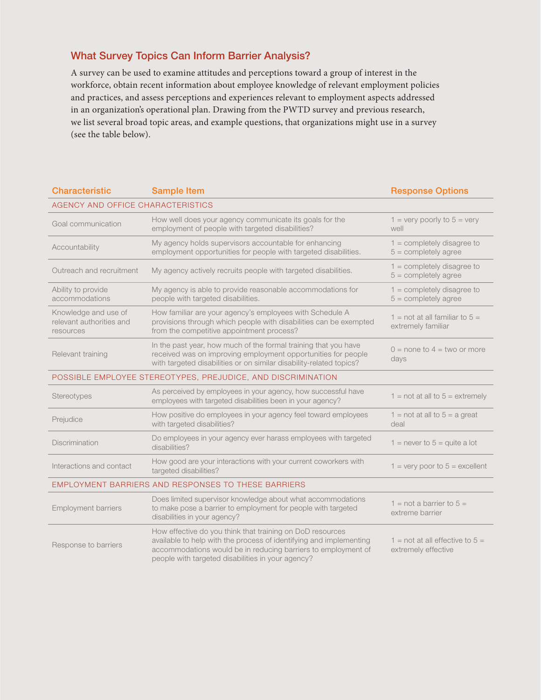# What Survey Topics Can Inform Barrier Analysis?

A survey can be used to examine attitudes and perceptions toward a group of interest in the workforce, obtain recent information about employee knowledge of relevant employment policies and practices, and assess perceptions and experiences relevant to employment aspects addressed in an organization's operational plan. Drawing from the PWTD survey and previous research, we list several broad topic areas, and example questions, that organizations might use in a survey (see the table below).

| <b>Characteristic</b>                                         | <b>Sample Item</b>                                                                                                                                                                                                                                    | <b>Response Options</b>                                          |
|---------------------------------------------------------------|-------------------------------------------------------------------------------------------------------------------------------------------------------------------------------------------------------------------------------------------------------|------------------------------------------------------------------|
| AGENCY AND OFFICE CHARACTERISTICS                             |                                                                                                                                                                                                                                                       |                                                                  |
| Goal communication                                            | How well does your agency communicate its goals for the<br>employment of people with targeted disabilities?                                                                                                                                           | $1 =$ very poorly to $5 =$ very<br>well                          |
| Accountability                                                | My agency holds supervisors accountable for enhancing<br>employment opportunities for people with targeted disabilities.                                                                                                                              | $1 =$ completely disagree to<br>$5 =$ completely agree           |
| Outreach and recruitment                                      | My agency actively recruits people with targeted disabilities.                                                                                                                                                                                        | $1 =$ completely disagree to<br>$5 =$ completely agree           |
| Ability to provide<br>accommodations                          | My agency is able to provide reasonable accommodations for<br>people with targeted disabilities.                                                                                                                                                      | $1 =$ completely disagree to<br>$5 =$ completely agree           |
| Knowledge and use of<br>relevant authorities and<br>resources | How familiar are your agency's employees with Schedule A<br>provisions through which people with disabilities can be exempted<br>from the competitive appointment process?                                                                            | 1 = not at all familiar to $5 =$<br>extremely familiar           |
| Relevant training                                             | In the past year, how much of the formal training that you have<br>received was on improving employment opportunities for people<br>with targeted disabilities or on similar disability-related topics?                                               | $0 =$ none to $4 =$ two or more<br>days                          |
| POSSIBLE EMPLOYEE STEREOTYPES, PREJUDICE, AND DISCRIMINATION  |                                                                                                                                                                                                                                                       |                                                                  |
| Stereotypes                                                   | As perceived by employees in your agency, how successful have<br>employees with targeted disabilities been in your agency?                                                                                                                            | $1 = not at all to 5 = extremely$                                |
| Prejudice                                                     | How positive do employees in your agency feel toward employees<br>with targeted disabilities?                                                                                                                                                         | $1 = not at all to 5 = a great$<br>deal                          |
| <b>Discrimination</b>                                         | Do employees in your agency ever harass employees with targeted<br>disabilities?                                                                                                                                                                      | 1 = never to $5$ = quite a lot                                   |
| Interactions and contact                                      | How good are your interactions with your current coworkers with<br>targeted disabilities?                                                                                                                                                             | $1 =$ very poor to $5 =$ excellent                               |
| <b>EMPLOYMENT BARRIERS AND RESPONSES TO THESE BARRIERS</b>    |                                                                                                                                                                                                                                                       |                                                                  |
| <b>Employment barriers</b>                                    | Does limited supervisor knowledge about what accommodations<br>to make pose a barrier to employment for people with targeted<br>disabilities in your agency?                                                                                          | $1 = not a barrier to 5 =$<br>extreme barrier                    |
| Response to barriers                                          | How effective do you think that training on DoD resources<br>available to help with the process of identifying and implementing<br>accommodations would be in reducing barriers to employment of<br>people with targeted disabilities in your agency? | $1 = \text{not at all effective to } 5 =$<br>extremely effective |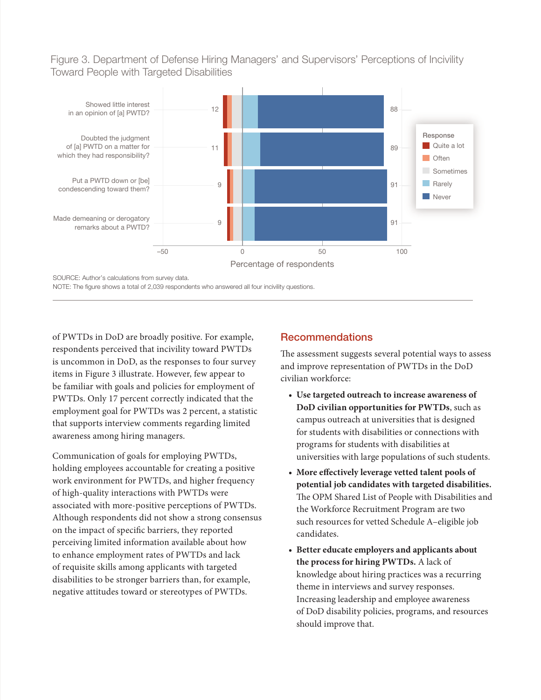Figure 3. Department of Defense Hiring Managers' and Supervisors' Perceptions of Incivility Toward People with Targeted Disabilities



NOTE: The figure shows a total of 2,039 respondents who answered all four incivility questions.

of PWTDs in DoD are broadly positive. For example, respondents perceived that incivility toward PWTDs is uncommon in DoD, as the responses to four survey items in Figure 3 illustrate. However, few appear to be familiar with goals and policies for employment of PWTDs. Only 17 percent correctly indicated that the employment goal for PWTDs was 2 percent, a statistic that supports interview comments regarding limited awareness among hiring managers.

Communication of goals for employing PWTDs, holding employees accountable for creating a positive work environment for PWTDs, and higher frequency of high-quality interactions with PWTDs were associated with more-positive perceptions of PWTDs. Although respondents did not show a strong consensus on the impact of specific barriers, they reported perceiving limited information available about how to enhance employment rates of PWTDs and lack of requisite skills among applicants with targeted disabilities to be stronger barriers than, for example, negative attitudes toward or stereotypes of PWTDs.

# Recommendations

The assessment suggests several potential ways to assess and improve representation of PWTDs in the DoD civilian workforce:

- **Use targeted outreach to increase awareness of DoD civilian opportunities for PWTDs**, such as campus outreach at universities that is designed for students with disabilities or connections with programs for students with disabilities at universities with large populations of such students.
- **More effectively leverage vetted talent pools of potential job candidates with targeted disabilities.** The OPM Shared List of People with Disabilities and the Workforce Recruitment Program are two such resources for vetted Schedule A–eligible job candidates.
- **Better educate employers and applicants about the process for hiring PWTDs.** A lack of knowledge about hiring practices was a recurring theme in interviews and survey responses. Increasing leadership and employee awareness of DoD disability policies, programs, and resources should improve that.